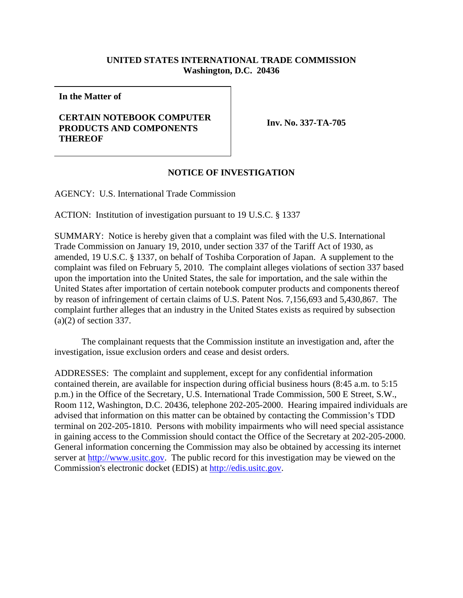## **UNITED STATES INTERNATIONAL TRADE COMMISSION Washington, D.C. 20436**

**In the Matter of**

## **CERTAIN NOTEBOOK COMPUTER PRODUCTS AND COMPONENTS THEREOF**

**Inv. No. 337-TA-705**

## **NOTICE OF INVESTIGATION**

AGENCY: U.S. International Trade Commission

ACTION: Institution of investigation pursuant to 19 U.S.C. § 1337

SUMMARY: Notice is hereby given that a complaint was filed with the U.S. International Trade Commission on January 19, 2010, under section 337 of the Tariff Act of 1930, as amended, 19 U.S.C. § 1337, on behalf of Toshiba Corporation of Japan. A supplement to the complaint was filed on February 5, 2010. The complaint alleges violations of section 337 based upon the importation into the United States, the sale for importation, and the sale within the United States after importation of certain notebook computer products and components thereof by reason of infringement of certain claims of U.S. Patent Nos. 7,156,693 and 5,430,867. The complaint further alleges that an industry in the United States exists as required by subsection (a)(2) of section 337.

The complainant requests that the Commission institute an investigation and, after the investigation, issue exclusion orders and cease and desist orders.

ADDRESSES: The complaint and supplement, except for any confidential information contained therein, are available for inspection during official business hours (8:45 a.m. to 5:15 p.m.) in the Office of the Secretary, U.S. International Trade Commission, 500 E Street, S.W., Room 112, Washington, D.C. 20436, telephone 202-205-2000. Hearing impaired individuals are advised that information on this matter can be obtained by contacting the Commission's TDD terminal on 202-205-1810. Persons with mobility impairments who will need special assistance in gaining access to the Commission should contact the Office of the Secretary at 202-205-2000. General information concerning the Commission may also be obtained by accessing its internet server at http://www.usitc.gov. The public record for this investigation may be viewed on the Commission's electronic docket (EDIS) at http://edis.usitc.gov.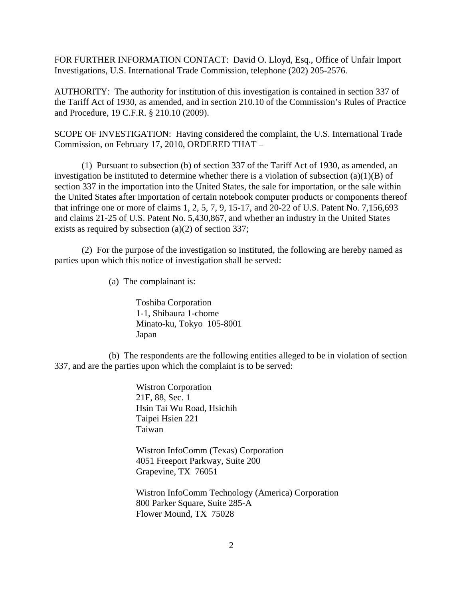FOR FURTHER INFORMATION CONTACT: David O. Lloyd, Esq., Office of Unfair Import Investigations, U.S. International Trade Commission, telephone (202) 205-2576.

AUTHORITY: The authority for institution of this investigation is contained in section 337 of the Tariff Act of 1930, as amended, and in section 210.10 of the Commission's Rules of Practice and Procedure, 19 C.F.R. § 210.10 (2009).

SCOPE OF INVESTIGATION: Having considered the complaint, the U.S. International Trade Commission, on February 17, 2010, ORDERED THAT –

(1) Pursuant to subsection (b) of section 337 of the Tariff Act of 1930, as amended, an investigation be instituted to determine whether there is a violation of subsection  $(a)(1)(B)$  of section 337 in the importation into the United States, the sale for importation, or the sale within the United States after importation of certain notebook computer products or components thereof that infringe one or more of claims 1, 2, 5, 7, 9, 15-17, and 20-22 of U.S. Patent No. 7,156,693 and claims 21-25 of U.S. Patent No. 5,430,867, and whether an industry in the United States exists as required by subsection (a)(2) of section 337;

(2) For the purpose of the investigation so instituted, the following are hereby named as parties upon which this notice of investigation shall be served:

(a) The complainant is:

Toshiba Corporation 1-1, Shibaura 1-chome Minato-ku, Tokyo 105-8001 Japan

(b) The respondents are the following entities alleged to be in violation of section 337, and are the parties upon which the complaint is to be served:

> Wistron Corporation 21F, 88, Sec. 1 Hsin Tai Wu Road, Hsichih Taipei Hsien 221 Taiwan

Wistron InfoComm (Texas) Corporation 4051 Freeport Parkway, Suite 200 Grapevine, TX 76051

Wistron InfoComm Technology (America) Corporation 800 Parker Square, Suite 285-A Flower Mound, TX 75028